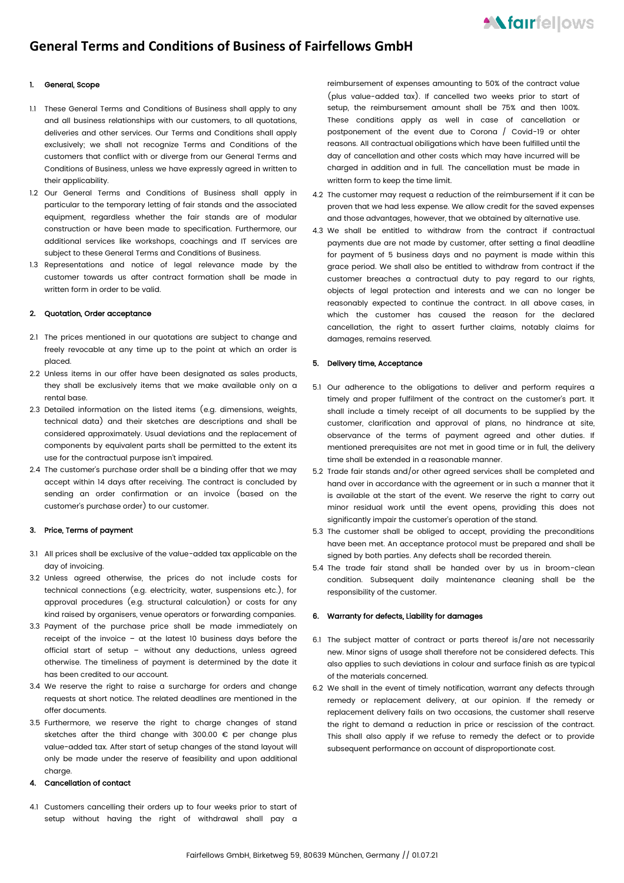# **General Terms and Conditions of Business of Fairfellows GmbH**

# 1. General, Scope

- 1.1 These General Terms and Conditions of Business shall apply to any and all business relationships with our customers, to all quotations, deliveries and other services. Our Terms and Conditions shall apply exclusively; we shall not recognize Terms and Conditions of the customers that conflict with or diverge from our General Terms and Conditions of Business, unless we have expressly agreed in written to their applicability.
- 1.2 Our General Terms and Conditions of Business shall apply in particular to the temporary letting of fair stands and the associated equipment, regardless whether the fair stands are of modular construction or have been made to specification. Furthermore, our additional services like workshops, coachings and IT services are subject to these General Terms and Conditions of Business.
- 1.3 Representations and notice of legal relevance made by the customer towards us after contract formation shall be made in written form in order to be valid

## 2. Quotation, Order acceptance

- 2.1 The prices mentioned in our quotations are subject to change and freely revocable at any time up to the point at which an order is placed.
- 2.2 Unless items in our offer have been designated as sales products, they shall be exclusively items that we make available only on a rental base.
- 2.3 Detailed information on the listed items (e.g. dimensions, weights, technical data) and their sketches are descriptions and shall be considered approximately. Usual deviations and the replacement of components by equivalent parts shall be permitted to the extent its use for the contractual purpose isn't impaired.
- 2.4 The customer's purchase order shall be a binding offer that we may accept within 14 days after receiving. The contract is concluded by sending an order confirmation or an invoice (based on the customer's purchase order) to our customer.

### 3. Price, Terms of payment

- 3.1 All prices shall be exclusive of the value-added tax applicable on the day of invoicing.
- 3.2 Unless agreed otherwise, the prices do not include costs for technical connections (e.g. electricity, water, suspensions etc.), for approval procedures (e.g. structural calculation) or costs for any kind raised by organisers, venue operators or forwarding companies.
- 3.3 Payment of the purchase price shall be made immediately on receipt of the invoice – at the latest 10 business days before the official start of setup – without any deductions, unless agreed otherwise. The timeliness of payment is determined by the date it has been credited to our account.
- 3.4 We reserve the right to raise a surcharge for orders and change requests at short notice. The related deadlines are mentioned in the offer documents.
- 3.5 Furthermore, we reserve the right to charge changes of stand sketches after the third change with 300.00 € per change plus value-added tax. After start of setup changes of the stand layout will only be made under the reserve of feasibility and upon additional charge.

## 4. Cancellation of contact

4.1 Customers cancelling their orders up to four weeks prior to start of setup without having the right of withdrawal shall pay a reimbursement of expenses amounting to 50% of the contract value (plus value-added tax). If cancelled two weeks prior to start of setup, the reimbursement amount shall be 75% and then 100%. These conditions apply as well in case of cancellation or postponement of the event due to Corona / Covid-19 or ohter reasons. All contractual obiligations which have been fulfilled until the day of cancellation and other costs which may have incurred will be charged in addition and in full. The cancellation must be made in written form to keep the time limit.

- 4.2 The customer may request a reduction of the reimbursement if it can be proven that we had less expense. We allow credit for the saved expenses and those advantages, however, that we obtained by alternative use.
- 4.3 We shall be entitled to withdraw from the contract if contractual payments due are not made by customer, after setting a final deadline for payment of 5 business days and no payment is made within this grace period. We shall also be entitled to withdraw from contract if the customer breaches a contractual duty to pay regard to our rights, objects of legal protection and interests and we can no longer be reasonably expected to continue the contract. In all above cases, in which the customer has caused the reason for the declared cancellation, the right to assert further claims, notably claims for damages, remains reserved.

# 5. Delivery time, Acceptance

- 5.1 Our adherence to the obligations to deliver and perform requires a timely and proper fulfilment of the contract on the customer's part. It shall include a timely receipt of all documents to be supplied by the customer, clarification and approval of plans, no hindrance at site, observance of the terms of payment agreed and other duties. If mentioned prerequisites are not met in good time or in full, the delivery time shall be extended in a reasonable manner.
- 5.2 Trade fair stands and/or other agreed services shall be completed and hand over in accordance with the agreement or in such a manner that it is available at the start of the event. We reserve the right to carry out minor residual work until the event opens, providing this does not significantly impair the customer's operation of the stand.
- 5.3 The customer shall be obliged to accept, providing the preconditions have been met. An acceptance protocol must be prepared and shall be signed by both parties. Any defects shall be recorded therein.
- 5.4 The trade fair stand shall be handed over by us in broom-clean condition. Subsequent daily maintenance cleaning shall be the responsibility of the customer.

# 6. Warranty for defects, Liability for damages

- 6.1 The subject matter of contract or parts thereof is/are not necessarily new. Minor signs of usage shall therefore not be considered defects. This also applies to such deviations in colour and surface finish as are typical of the materials concerned.
- 6.2 We shall in the event of timely notification, warrant any defects through remedy or replacement delivery, at our opinion. If the remedy or replacement delivery fails on two occasions, the customer shall reserve the right to demand a reduction in price or rescission of the contract. This shall also apply if we refuse to remedy the defect or to provide subsequent performance on account of disproportionate cost.